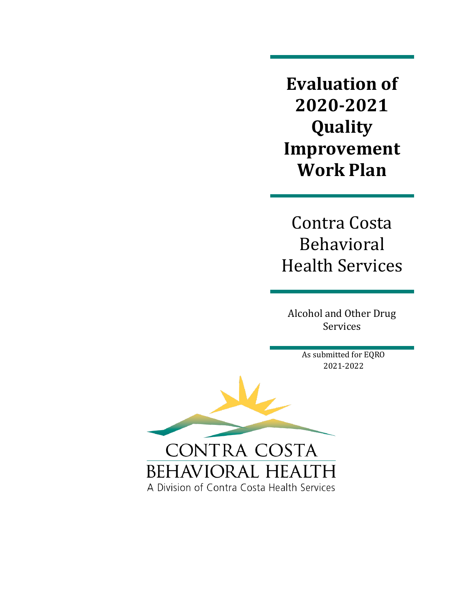**Evaluation of 2020-2021 Quality Improvement Work Plan** 

Contra Costa Behavioral Health Services

Alcohol and Other Drug Services

> As submitted for EQRO 2021-2022

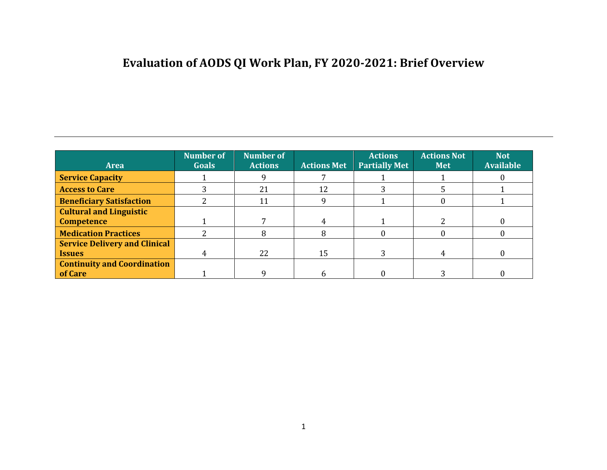# **Evaluation of AODS QI Work Plan, FY 2020-2021: Brief Overview**

| <b>Area</b>                          | <b>Number of</b><br><b>Goals</b> | <b>Number of</b><br><b>Actions</b> | <b>Actions Met</b> | <b>Actions</b><br><b>Partially Met</b> | <b>Actions Not</b><br><b>Met</b> | <b>Not</b><br><b>Available</b> |
|--------------------------------------|----------------------------------|------------------------------------|--------------------|----------------------------------------|----------------------------------|--------------------------------|
| <b>Service Capacity</b>              |                                  |                                    |                    |                                        |                                  |                                |
| <b>Access to Care</b>                |                                  | 21                                 | 12                 |                                        |                                  |                                |
| <b>Beneficiary Satisfaction</b>      |                                  | 11                                 | q                  |                                        | $\mathbf{0}$                     |                                |
| <b>Cultural and Linguistic</b>       |                                  |                                    |                    |                                        |                                  |                                |
| <b>Competence</b>                    |                                  |                                    | 4                  |                                        |                                  | 0                              |
| <b>Medication Practices</b>          |                                  | 8                                  | 8                  |                                        |                                  |                                |
| <b>Service Delivery and Clinical</b> |                                  |                                    |                    |                                        |                                  |                                |
| <b>Issues</b>                        |                                  | 22                                 | 15                 |                                        | 4                                |                                |
| <b>Continuity and Coordination</b>   |                                  |                                    |                    |                                        |                                  |                                |
| of Care                              |                                  |                                    | h.                 |                                        |                                  |                                |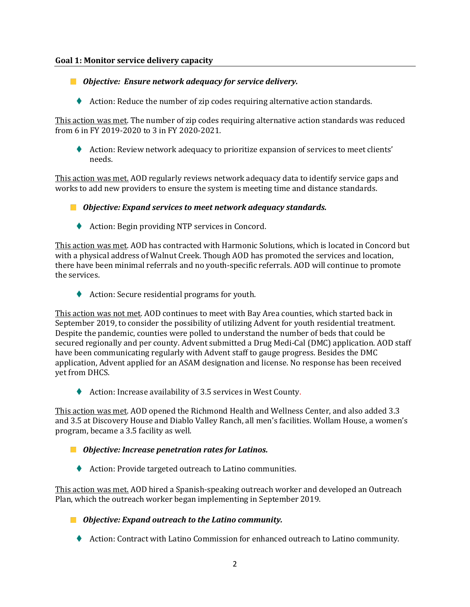#### **Goal 1: Monitor service delivery capacity**

*Objective: Ensure network adequacy for service delivery.*

♦ Action: Reduce the number of zip codes requiring alternative action standards.

This action was met. The number of zip codes requiring alternative action standards was reduced from 6 in FY 2019-2020 to 3 in FY 2020-2021.

⧫ Action: Review network adequacy to prioritize expansion of services to meet clients' needs.

This action was met. AOD regularly reviews network adequacy data to identify service gaps and works to add new providers to ensure the system is meeting time and distance standards.

- *Objective: Expand services to meet network adequacy standards.*
	- ◆ Action: Begin providing NTP services in Concord.

This action was met. AOD has contracted with Harmonic Solutions, which is located in Concord but with a physical address of Walnut Creek. Though AOD has promoted the services and location, there have been minimal referrals and no youth-specific referrals. AOD will continue to promote the services.

◆ Action: Secure residential programs for youth.

This action was not met. AOD continues to meet with Bay Area counties, which started back in September 2019, to consider the possibility of utilizing Advent for youth residential treatment. Despite the pandemic, counties were polled to understand the number of beds that could be secured regionally and per county. Advent submitted a Drug Medi-Cal (DMC) application. AOD staff have been communicating regularly with Advent staff to gauge progress. Besides the DMC application, Advent applied for an ASAM designation and license. No response has been received yet from DHCS.

◆ Action: Increase availability of 3.5 services in West County.

This action was met. AOD opened the Richmond Health and Wellness Center, and also added 3.3 and 3.5 at Discovery House and Diablo Valley Ranch, all men's facilities. Wollam House, a women's program, became a 3.5 facility as well.

- *Objective: Increase penetration rates for Latinos.*
	- ◆ Action: Provide targeted outreach to Latino communities.

This action was met. AOD hired a Spanish-speaking outreach worker and developed an Outreach Plan, which the outreach worker began implementing in September 2019.

*Objective: Expand outreach to the Latino community.*

◆ Action: Contract with Latino Commission for enhanced outreach to Latino community.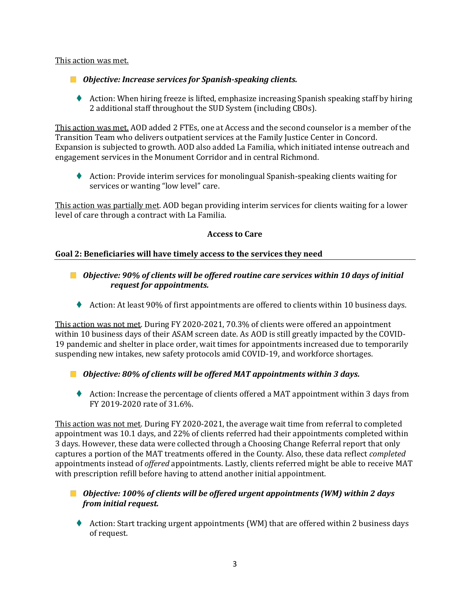#### This action was met.

- *Objective: Increase services for Spanish-speaking clients.*
	- ⧫ Action: When hiring freeze is lifted, emphasize increasing Spanish speaking staff by hiring 2 additional staff throughout the SUD System (including CBOs).

This action was met. AOD added 2 FTEs, one at Access and the second counselor is a member of the Transition Team who delivers outpatient services at the Family Justice Center in Concord. Expansion is subjected to growth. AOD also added La Familia, which initiated intense outreach and engagement services in the Monument Corridor and in central Richmond.

◆ Action: Provide interim services for monolingual Spanish-speaking clients waiting for services or wanting "low level" care.

This action was partially met. AOD began providing interim services for clients waiting for a lower level of care through a contract with La Familia.

#### **Access to Care**

#### **Goal 2: Beneficiaries will have timely access to the services they need**

- *Objective: 90% of clients will be offered routine care services within 10 days of initial request for appointments.*
	- ◆ Action: At least 90% of first appointments are offered to clients within 10 business days.

This action was not met. During FY 2020-2021, 70.3% of clients were offered an appointment within 10 business days of their ASAM screen date. As AOD is still greatly impacted by the COVID-19 pandemic and shelter in place order, wait times for appointments increased due to temporarily suspending new intakes, new safety protocols amid COVID-19, and workforce shortages.

- *Objective: 80% of clients will be offered MAT appointments within 3 days.*
	- ♦ Action: Increase the percentage of clients offered a MAT appointment within 3 days from FY 2019-2020 rate of 31.6%.

This action was not met. During FY 2020-2021, the average wait time from referral to completed appointment was 10.1 days, and 22% of clients referred had their appointments completed within 3 days. However, these data were collected through a Choosing Change Referral report that only captures a portion of the MAT treatments offered in the County. Also, these data reflect *completed*  appointments instead of *offered* appointments. Lastly, clients referred might be able to receive MAT with prescription refill before having to attend another initial appointment.

## *Objective: 100% of clients will be offered urgent appointments (WM) within 2 days from initial request.*

⧫ Action: Start tracking urgent appointments (WM) that are offered within 2 business days of request.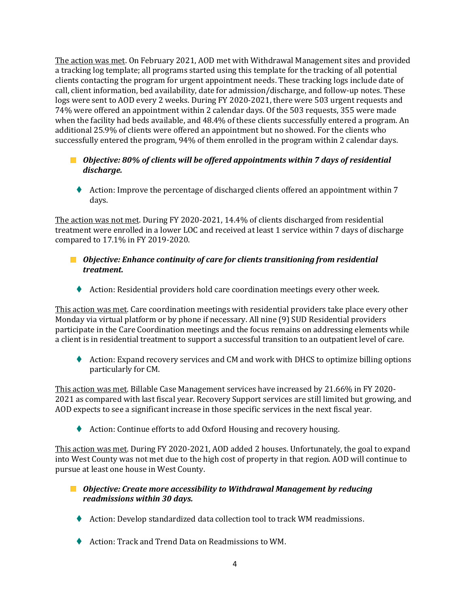The action was met. On February 2021, AOD met with Withdrawal Management sites and provided a tracking log template; all programs started using this template for the tracking of all potential clients contacting the program for urgent appointment needs. These tracking logs include date of call, client information, bed availability, date for admission/discharge, and follow-up notes. These logs were sent to AOD every 2 weeks. During FY 2020-2021, there were 503 urgent requests and 74% were offered an appointment within 2 calendar days. Of the 503 requests, 355 were made when the facility had beds available, and 48.4% of these clients successfully entered a program. An additional 25.9% of clients were offered an appointment but no showed. For the clients who successfully entered the program, 94% of them enrolled in the program within 2 calendar days.

## ■ *Objective: 80% of clients will be offered appointments within 7 days of residential discharge.*

♦ Action: Improve the percentage of discharged clients offered an appointment within 7 days.

The action was not met. During FY 2020-2021, 14.4% of clients discharged from residential treatment were enrolled in a lower LOC and received at least 1 service within 7 days of discharge compared to 17.1% in FY 2019-2020.

## *Objective: Enhance continuity of care for clients transitioning from residential treatment.*

◆ Action: Residential providers hold care coordination meetings every other week.

This action was met. Care coordination meetings with residential providers take place every other Monday via virtual platform or by phone if necessary. All nine (9) SUD Residential providers participate in the Care Coordination meetings and the focus remains on addressing elements while a client is in residential treatment to support a successful transition to an outpatient level of care.

♦ Action: Expand recovery services and CM and work with DHCS to optimize billing options particularly for CM.

This action was met. Billable Case Management services have increased by 21.66% in FY 2020- 2021 as compared with last fiscal year. Recovery Support services are still limited but growing, and AOD expects to see a significant increase in those specific services in the next fiscal year.

◆ Action: Continue efforts to add Oxford Housing and recovery housing.

This action was met. During FY 2020-2021, AOD added 2 houses. Unfortunately, the goal to expand into West County was not met due to the high cost of property in that region. AOD will continue to pursue at least one house in West County.

## *Objective: Create more accessibility to Withdrawal Management by reducing readmissions within 30 days.*

- ◆ Action: Develop standardized data collection tool to track WM readmissions.
- ◆ Action: Track and Trend Data on Readmissions to WM.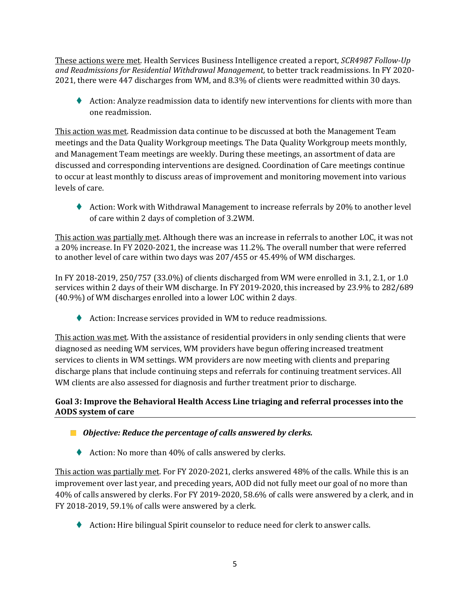These actions were met. Health Services Business Intelligence created a report, *SCR4987 Follow-Up and Readmissions for Residential Withdrawal Management,* to better track readmissions. In FY 2020- 2021, there were 447 discharges from WM, and 8.3% of clients were readmitted within 30 days.

♦ Action: Analyze readmission data to identify new interventions for clients with more than one readmission.

This action was met. Readmission data continue to be discussed at both the Management Team meetings and the Data Quality Workgroup meetings. The Data Quality Workgroup meets monthly, and Management Team meetings are weekly. During these meetings, an assortment of data are discussed and corresponding interventions are designed. Coordination of Care meetings continue to occur at least monthly to discuss areas of improvement and monitoring movement into various levels of care.

♦ Action: Work with Withdrawal Management to increase referrals by 20% to another level of care within 2 days of completion of 3.2WM.

This action was partially met. Although there was an increase in referrals to another LOC, it was not a 20% increase. In FY 2020-2021, the increase was 11.2%. The overall number that were referred to another level of care within two days was 207/455 or 45.49% of WM discharges.

In FY 2018-2019, 250/757 (33.0%) of clients discharged from WM were enrolled in 3.1, 2.1, or 1.0 services within 2 days of their WM discharge. In FY 2019-2020, this increased by 23.9% to 282/689 (40.9%) of WM discharges enrolled into a lower LOC within 2 days.

◆ Action: Increase services provided in WM to reduce readmissions.

This action was met. With the assistance of residential providers in only sending clients that were diagnosed as needing WM services, WM providers have begun offering increased treatment services to clients in WM settings. WM providers are now meeting with clients and preparing discharge plans that include continuing steps and referrals for continuing treatment services. All WM clients are also assessed for diagnosis and further treatment prior to discharge.

## **Goal 3: Improve the Behavioral Health Access Line triaging and referral processes into the AODS system of care**

## *Objective: Reduce the percentage of calls answered by clerks.*

◆ Action: No more than 40% of calls answered by clerks.

This action was partially met. For FY 2020-2021, clerks answered 48% of the calls. While this is an improvement over last year, and preceding years, AOD did not fully meet our goal of no more than 40% of calls answered by clerks. For FY 2019-2020, 58.6% of calls were answered by a clerk, and in FY 2018-2019, 59.1% of calls were answered by a clerk.

⧫ Action**:** Hire bilingual Spirit counselor to reduce need for clerk to answer calls.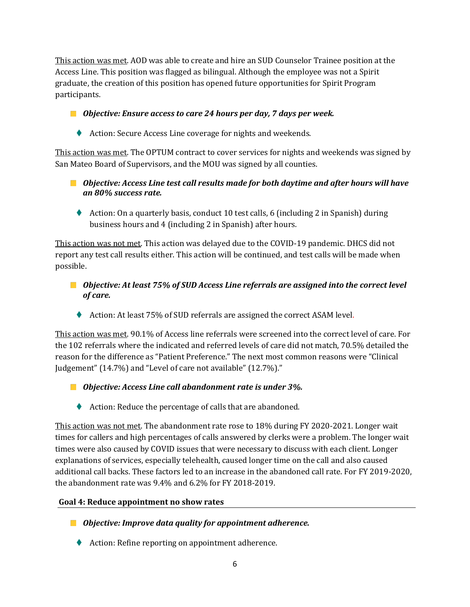This action was met. AOD was able to create and hire an SUD Counselor Trainee position at the Access Line. This position was flagged as bilingual. Although the employee was not a Spirit graduate, the creation of this position has opened future opportunities for Spirit Program participants.

- *Objective: Ensure access to care 24 hours per day, 7 days per week.*
	- ◆ Action: Secure Access Line coverage for nights and weekends.

This action was met. The OPTUM contract to cover services for nights and weekends was signed by San Mateo Board of Supervisors, and the MOU was signed by all counties.

- *Objective: Access Line test call results made for both daytime and after hours will have an 80% success rate.*
	- $\blacklozenge$  Action: On a quarterly basis, conduct 10 test calls, 6 (including 2 in Spanish) during business hours and 4 (including 2 in Spanish) after hours.

This action was not met. This action was delayed due to the COVID-19 pandemic. DHCS did not report any test call results either. This action will be continued, and test calls will be made when possible.

- *Objective: At least 75% of SUD Access Line referrals are assigned into the correct level of care.*
	- ◆ Action: At least 75% of SUD referrals are assigned the correct ASAM level.

This action was met. 90.1% of Access line referrals were screened into the correct level of care. For the 102 referrals where the indicated and referred levels of care did not match, 70.5% detailed the reason for the difference as "Patient Preference." The next most common reasons were "Clinical Judgement" (14.7%) and "Level of care not available" (12.7%)."

*Objective: Access Line call abandonment rate is under 3%.*

◆ Action: Reduce the percentage of calls that are abandoned.

This action was not met. The abandonment rate rose to 18% during FY 2020-2021. Longer wait times for callers and high percentages of calls answered by clerks were a problem. The longer wait times were also caused by COVID issues that were necessary to discuss with each client. Longer explanations of services, especially telehealth, caused longer time on the call and also caused additional call backs. These factors led to an increase in the abandoned call rate. For FY 2019-2020, the abandonment rate was 9.4% and 6.2% for FY 2018-2019.

#### **Goal 4: Reduce appointment no show rates**

- *Objective: Improve data quality for appointment adherence.*
	- ♦ Action: Refine reporting on appointment adherence.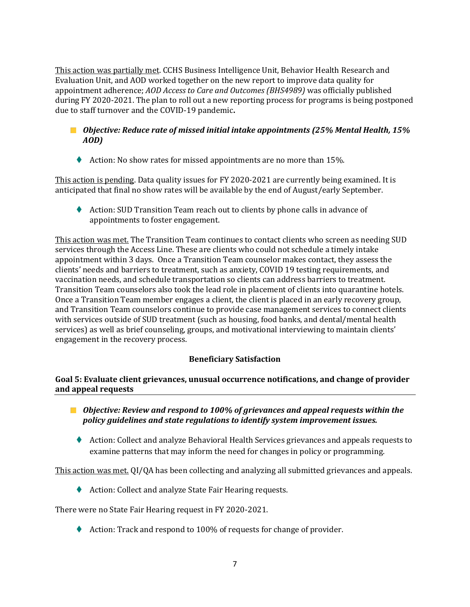This action was partially met. CCHS Business Intelligence Unit, Behavior Health Research and Evaluation Unit, and AOD worked together on the new report to improve data quality for appointment adherence; *AOD Access to Care and Outcomes (BHS4989)* was officially published during FY 2020-2021. The plan to roll out a new reporting process for programs is being postponed due to staff turnover and the COVID-19 pandemic**.**

#### *Objective: Reduce rate of missed initial intake appointments (25% Mental Health, 15% AOD)*

◆ Action: No show rates for missed appointments are no more than 15%.

This action is pending. Data quality issues for FY 2020-2021 are currently being examined. It is anticipated that final no show rates will be available by the end of August/early September.

⧫ Action: SUD Transition Team reach out to clients by phone calls in advance of appointments to foster engagement.

This action was met. The Transition Team continues to contact clients who screen as needing SUD services through the Access Line. These are clients who could not schedule a timely intake appointment within 3 days. Once a Transition Team counselor makes contact, they assess the clients' needs and barriers to treatment, such as anxiety, COVID 19 testing requirements, and vaccination needs, and schedule transportation so clients can address barriers to treatment. Transition Team counselors also took the lead role in placement of clients into quarantine hotels. Once a Transition Team member engages a client, the client is placed in an early recovery group, and Transition Team counselors continue to provide case management services to connect clients with services outside of SUD treatment (such as housing, food banks, and dental/mental health services) as well as brief counseling, groups, and motivational interviewing to maintain clients' engagement in the recovery process.

#### **Beneficiary Satisfaction**

#### **Goal 5: Evaluate client grievances, unusual occurrence notifications, and change of provider and appeal requests**

- *Objective: Review and respond to 100% of grievances and appeal requests within the policy guidelines and state regulations to identify system improvement issues.*
	- ♦ Action: Collect and analyze Behavioral Health Services grievances and appeals requests to examine patterns that may inform the need for changes in policy or programming.

This action was met. QI/QA has been collecting and analyzing all submitted grievances and appeals.

◆ Action: Collect and analyze State Fair Hearing requests.

There were no State Fair Hearing request in FY 2020-2021.

⧫ Action: Track and respond to 100% of requests for change of provider.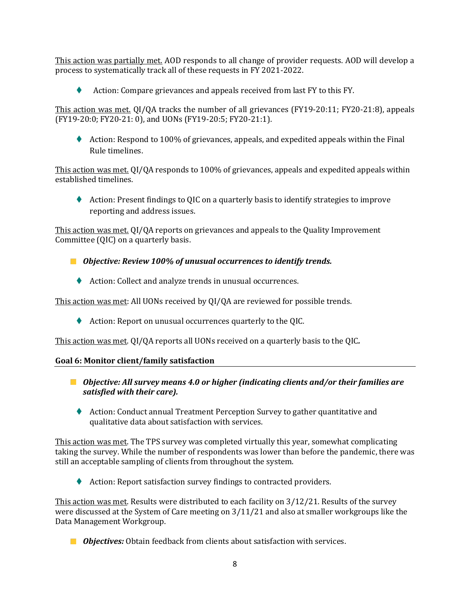This action was partially met. AOD responds to all change of provider requests. AOD will develop a process to systematically track all of these requests in FY 2021-2022.

⧫ Action: Compare grievances and appeals received from last FY to this FY.

This action was met. QI/QA tracks the number of all grievances (FY19-20:11; FY20-21:8), appeals (FY19-20:0; FY20-21: 0), and UONs (FY19-20:5; FY20-21:1).

⧫ Action: Respond to 100% of grievances, appeals, and expedited appeals within the Final Rule timelines.

This action was met. QI/QA responds to 100% of grievances, appeals and expedited appeals within established timelines.

⧫ Action: Present findings to QIC on a quarterly basis to identify strategies to improve reporting and address issues.

This action was met. QI/QA reports on grievances and appeals to the Quality Improvement Committee (QIC) on a quarterly basis.

- *Objective: Review 100% of unusual occurrences to identify trends.*
	- ♦ Action: Collect and analyze trends in unusual occurrences.

This action was met: All UONs received by QI/QA are reviewed for possible trends.

⧫ Action: Report on unusual occurrences quarterly to the QIC*.*

This action was met. QI/QA reports all UONs received on a quarterly basis to the QIC*.*

#### **Goal 6: Monitor client/family satisfaction**

- *Objective: All survey means 4.0 or higher (indicating clients and/or their families are satisfied with their care).*
	- ◆ Action: Conduct annual Treatment Perception Survey to gather quantitative and qualitative data about satisfaction with services.

This action was met. The TPS survey was completed virtually this year, somewhat complicating taking the survey. While the number of respondents was lower than before the pandemic, there was still an acceptable sampling of clients from throughout the system.

♦ Action: Report satisfaction survey findings to contracted providers.

This action was met. Results were distributed to each facility on 3/12/21. Results of the survey were discussed at the System of Care meeting on 3/11/21 and also at smaller workgroups like the Data Management Workgroup.

*Objectives:* Obtain feedback from clients about satisfaction with services.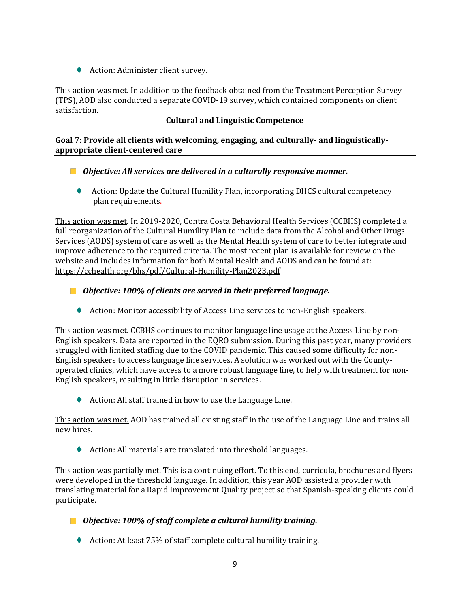♦ Action: Administer client survey.

This action was met. In addition to the feedback obtained from the Treatment Perception Survey (TPS), AOD also conducted a separate COVID-19 survey, which contained components on client satisfaction.

## **Cultural and Linguistic Competence**

#### **Goal 7: Provide all clients with welcoming, engaging, and culturally- and linguisticallyappropriate client-centered care**

- *Objective: All services are delivered in a culturally responsive manner.*
	- ⧫ Action: Update the Cultural Humility Plan, incorporating DHCS cultural competency plan requirements.

This action was met. In 2019-2020, Contra Costa Behavioral Health Services (CCBHS) completed a full reorganization of the Cultural Humility Plan to include data from the Alcohol and Other Drugs Services (AODS) system of care as well as the Mental Health system of care to better integrate and improve adherence to the required criteria. The most recent plan is available for review on the website and includes information for both Mental Health and AODS and can be found at: <https://cchealth.org/bhs/pdf/Cultural-Humility-Plan2023.pdf>

- *Objective: 100% of clients are served in their preferred language.*
	- ⧫ Action: Monitor accessibility of Access Line services to non-English speakers.

This action was met. CCBHS continues to monitor language line usage at the Access Line by non-English speakers. Data are reported in the EQRO submission. During this past year, many providers struggled with limited staffing due to the COVID pandemic. This caused some difficulty for non-English speakers to access language line services. A solution was worked out with the Countyoperated clinics, which have access to a more robust language line, to help with treatment for non-English speakers, resulting in little disruption in services.

◆ Action: All staff trained in how to use the Language Line.

This action was met. AOD has trained all existing staff in the use of the Language Line and trains all new hires.

◆ Action: All materials are translated into threshold languages.

This action was partially met. This is a continuing effort. To this end, curricula, brochures and flyers were developed in the threshold language. In addition, this year AOD assisted a provider with translating material for a Rapid Improvement Quality project so that Spanish-speaking clients could participate.

*Objective: 100% of staff complete a cultural humility training.*

◆ Action: At least 75% of staff complete cultural humility training.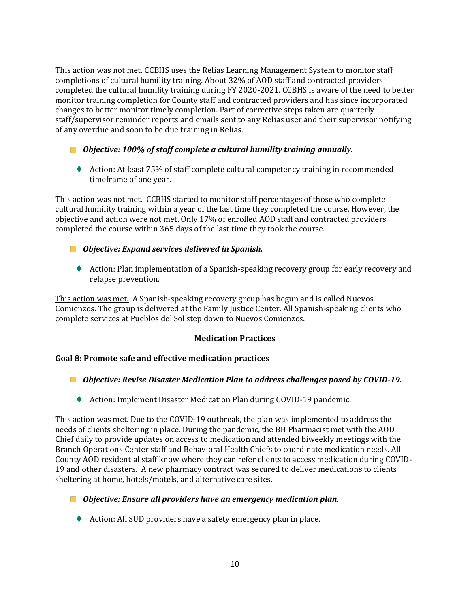This action was not met. CCBHS uses the Relias Learning Management System to monitor staff completions of cultural humility training. About 32% of AOD staff and contracted providers completed the cultural humility training during FY 2020-2021. CCBHS is aware of the need to better monitor training completion for County staff and contracted providers and has since incorporated changes to better monitor timely completion. Part of corrective steps taken are quarterly staff/supervisor reminder reports and emails sent to any Relias user and their supervisor notifying of any overdue and soon to be due training in Relias.

*Objective: 100% of staff complete a cultural humility training annually.*

♦ Action: At least 75% of staff complete cultural competency training in recommended timeframe of one year.

This action was not met. CCBHS started to monitor staff percentages of those who complete cultural humility training within a year of the last time they completed the course. However, the objective and action were not met. Only 17% of enrolled AOD staff and contracted providers completed the course within 365 days of the last time they took the course.

- *Objective: Expand services delivered in Spanish.*
	- ⧫ Action: Plan implementation of a Spanish-speaking recovery group for early recovery and relapse prevention.

This action was met. A Spanish-speaking recovery group has begun and is called Nuevos Comienzos. The group is delivered at the Family Justice Center. All Spanish-speaking clients who complete services at Pueblos del Sol step down to Nuevos Comienzos.

#### **Medication Practices**

#### **Goal 8: Promote safe and effective medication practices**

*Objective: Revise Disaster Medication Plan to address challenges posed by COVID-19.*

♦ Action: Implement Disaster Medication Plan during COVID-19 pandemic.

This action was met. Due to the COVID-19 outbreak, the plan was implemented to address the needs of clients sheltering in place. During the pandemic, the BH Pharmacist met with the AOD Chief daily to provide updates on access to medication and attended biweekly meetings with the Branch Operations Center staff and Behavioral Health Chiefs to coordinate medication needs. All County AOD residential staff know where they can refer clients to access medication during COVID-19 and other disasters. A new pharmacy contract was secured to deliver medications to clients sheltering at home, hotels/motels, and alternative care sites.

#### *Objective: Ensure all providers have an emergency medication plan.*

◆ Action: All SUD providers have a safety emergency plan in place.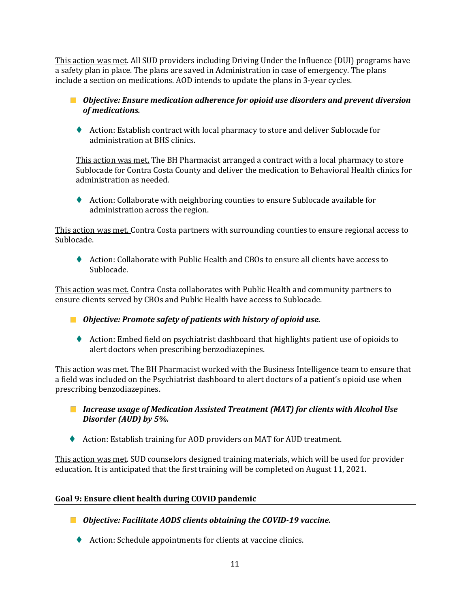This action was met. All SUD providers including Driving Under the Influence (DUI) programs have a safety plan in place. The plans are saved in Administration in case of emergency. The plans include a section on medications. AOD intends to update the plans in 3-year cycles.

*Objective: Ensure medication adherence for opioid use disorders and prevent diversion of medications.*

⧫ Action: Establish contract with local pharmacy to store and deliver Sublocade for administration at BHS clinics.

This action was met. The BH Pharmacist arranged a contract with a local pharmacy to store Sublocade for Contra Costa County and deliver the medication to Behavioral Health clinics for administration as needed.

♦ Action: Collaborate with neighboring counties to ensure Sublocade available for administration across the region.

This action was met. Contra Costa partners with surrounding counties to ensure regional access to Sublocade.

⧫ Action: Collaborate with Public Health and CBOs to ensure all clients have access to Sublocade.

This action was met. Contra Costa collaborates with Public Health and community partners to ensure clients served by CBOs and Public Health have access to Sublocade.

- *Objective: Promote safety of patients with history of opioid use.*
	- ⧫ Action: Embed field on psychiatrist dashboard that highlights patient use of opioids to alert doctors when prescribing benzodiazepines.

This action was met. The BH Pharmacist worked with the Business Intelligence team to ensure that a field was included on the Psychiatrist dashboard to alert doctors of a patient's opioid use when prescribing benzodiazepines.

- *Increase usage of Medication Assisted Treatment (MAT) for clients with Alcohol Use Disorder (AUD) by 5%.*
- ⧫ Action: Establish training for AOD providers on MAT for AUD treatment.

This action was met. SUD counselors designed training materials, which will be used for provider education. It is anticipated that the first training will be completed on August 11, 2021.

#### **Goal 9: Ensure client health during COVID pandemic**

- *Objective: Facilitate AODS clients obtaining the COVID-19 vaccine.*
	- ♦ Action: Schedule appointments for clients at vaccine clinics.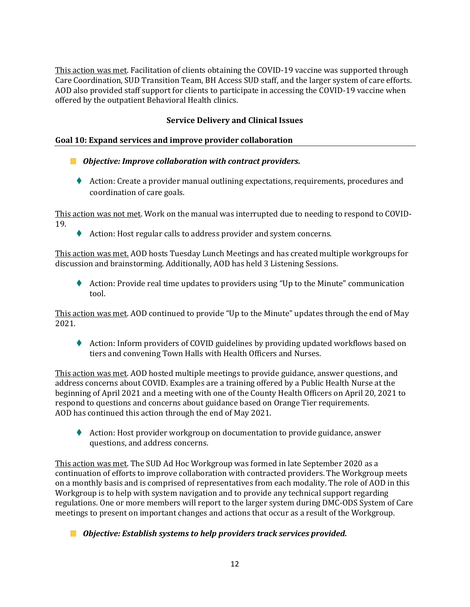This action was met. Facilitation of clients obtaining the COVID-19 vaccine was supported through Care Coordination, SUD Transition Team, BH Access SUD staff, and the larger system of care efforts. AOD also provided staff support for clients to participate in accessing the COVID-19 vaccine when offered by the outpatient Behavioral Health clinics.

## **Service Delivery and Clinical Issues**

#### **Goal 10: Expand services and improve provider collaboration**

- *Objective: Improve collaboration with contract providers.*
	- ♦ Action: Create a provider manual outlining expectations, requirements, procedures and coordination of care goals.

This action was not met. Work on the manual was interrupted due to needing to respond to COVID-19.

♦ Action: Host regular calls to address provider and system concerns.

This action was met. AOD hosts Tuesday Lunch Meetings and has created multiple workgroups for discussion and brainstorming. Additionally, AOD has held 3 Listening Sessions.

⧫ Action: Provide real time updates to providers using "Up to the Minute" communication tool.

This action was met. AOD continued to provide "Up to the Minute" updates through the end of May 2021.

♦ Action: Inform providers of COVID guidelines by providing updated workflows based on tiers and convening Town Halls with Health Officers and Nurses.

This action was met. AOD hosted multiple meetings to provide guidance, answer questions, and address concerns about COVID. Examples are a training offered by a Public Health Nurse at the beginning of April 2021 and a meeting with one of the County Health Officers on April 20, 2021 to respond to questions and concerns about guidance based on Orange Tier requirements. AOD has continued this action through the end of May 2021.

◆ Action: Host provider workgroup on documentation to provide guidance, answer questions, and address concerns.

This action was met. The SUD Ad Hoc Workgroup was formed in late September 2020 as a continuation of efforts to improve collaboration with contracted providers. The Workgroup meets on a monthly basis and is comprised of representatives from each modality. The role of AOD in this Workgroup is to help with system navigation and to provide any technical support regarding regulations. One or more members will report to the larger system during DMC-ODS System of Care meetings to present on important changes and actions that occur as a result of the Workgroup.

*Objective: Establish systems to help providers track services provided.*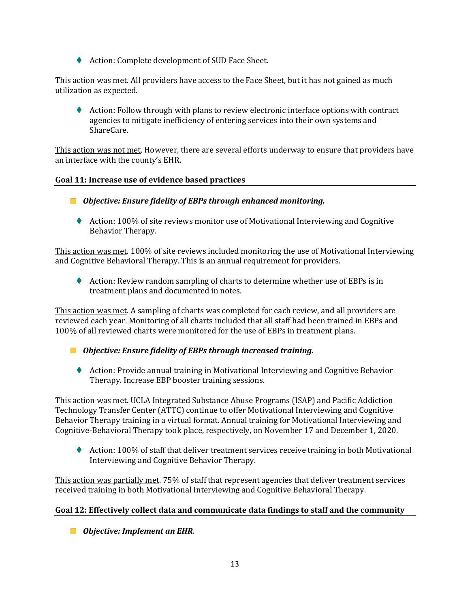◆ Action: Complete development of SUD Face Sheet.

This action was met. All providers have access to the Face Sheet, but it has not gained as much utilization as expected.

♦ Action: Follow through with plans to review electronic interface options with contract agencies to mitigate inefficiency of entering services into their own systems and ShareCare.

This action was not met. However, there are several efforts underway to ensure that providers have an interface with the county's EHR.

#### **Goal 11: Increase use of evidence based practices**

- *Objective: Ensure fidelity of EBPs through enhanced monitoring.*
	- ♦ Action: 100% of site reviews monitor use of Motivational Interviewing and Cognitive Behavior Therapy.

This action was met. 100% of site reviews included monitoring the use of Motivational Interviewing and Cognitive Behavioral Therapy. This is an annual requirement for providers.

♦ Action: Review random sampling of charts to determine whether use of EBPs is in treatment plans and documented in notes.

This action was met. A sampling of charts was completed for each review, and all providers are reviewed each year. Monitoring of all charts included that all staff had been trained in EBPs and 100% of all reviewed charts were monitored for the use of EBPs in treatment plans.

- *Objective: Ensure fidelity of EBPs through increased training.*
	- ♦ Action: Provide annual training in Motivational Interviewing and Cognitive Behavior Therapy. Increase EBP booster training sessions.

This action was met. UCLA Integrated Substance Abuse Programs (ISAP) and Pacific Addiction Technology Transfer Center (ATTC) continue to offer Motivational Interviewing and Cognitive Behavior Therapy training in a virtual format. Annual training for Motivational Interviewing and Cognitive-Behavioral Therapy took place, respectively, on November 17 and December 1, 2020.

♦ Action: 100% of staff that deliver treatment services receive training in both Motivational Interviewing and Cognitive Behavior Therapy.

This action was partially met. 75% of staff that represent agencies that deliver treatment services received training in both Motivational Interviewing and Cognitive Behavioral Therapy.

#### **Goal 12: Effectively collect data and communicate data findings to staff and the community**

*Objective: Implement an EHR.*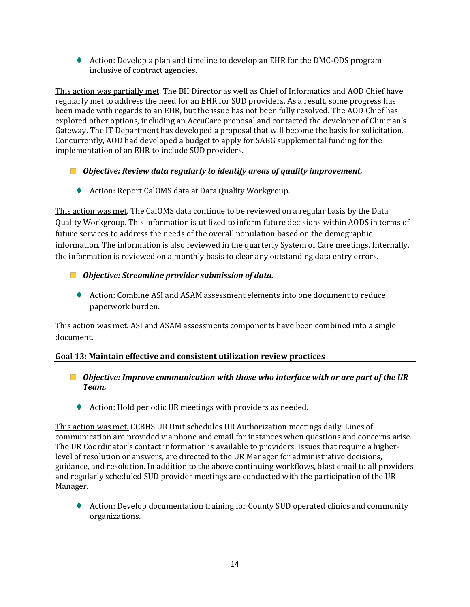⧫ Action: Develop a plan and timeline to develop an EHR for the DMC-ODS program inclusive of contract agencies.

This action was partially met. The BH Director as well as Chief of Informatics and AOD Chief have regularly met to address the need for an EHR for SUD providers. As a result, some progress has been made with regards to an EHR, but the issue has not been fully resolved. The AOD Chief has explored other options, including an AccuCare proposal and contacted the developer of Clinician's Gateway. The IT Department has developed a proposal that will become the basis for solicitation. Concurrently, AOD had developed a budget to apply for SABG supplemental funding for the implementation of an EHR to include SUD providers.

- *Objective: Review data regularly to identify areas of quality improvement.*
	- ◆ Action: Report CalOMS data at Data Quality Workgroup.

This action was met. The CalOMS data continue to be reviewed on a regular basis by the Data Quality Workgroup. This information is utilized to inform future decisions within AODS in terms of future services to address the needs of the overall population based on the demographic information. The information is also reviewed in the quarterly System of Care meetings. Internally, the information is reviewed on a monthly basis to clear any outstanding data entry errors.

- *Objective: Streamline provider submission of data.*
	- ⧫ Action: Combine ASI and ASAM assessment elements into one document to reduce paperwork burden.

This action was met. ASI and ASAM assessments components have been combined into a single document.

## **Goal 13: Maintain effective and consistent utilization review practices**

- *Objective: Improve communication with those who interface with or are part of the UR Team.*
	- ◆ Action: Hold periodic UR meetings with providers as needed.

This action was met. CCBHS UR Unit schedules UR Authorization meetings daily. Lines of communication are provided via phone and email for instances when questions and concerns arise. The UR Coordinator's contact information is available to providers. Issues that require a higherlevel of resolution or answers, are directed to the UR Manager for administrative decisions, guidance, and resolution. In addition to the above continuing workflows, blast email to all providers and regularly scheduled SUD provider meetings are conducted with the participation of the UR Manager.

♦ Action: Develop documentation training for County SUD operated clinics and community organizations.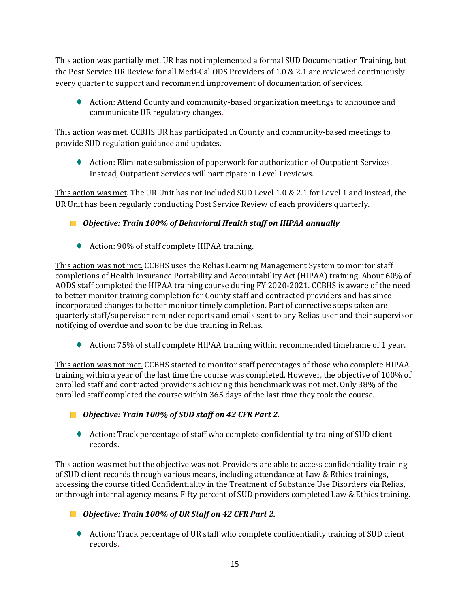This action was partially met. UR has not implemented a formal SUD Documentation Training, but the Post Service UR Review for all Medi-Cal ODS Providers of 1.0 & 2.1 are reviewed continuously every quarter to support and recommend improvement of documentation of services.

♦ Action: Attend County and community-based organization meetings to announce and communicate UR regulatory changes.

This action was met. CCBHS UR has participated in County and community-based meetings to provide SUD regulation guidance and updates.

♦ Action: Eliminate submission of paperwork for authorization of Outpatient Services. Instead, Outpatient Services will participate in Level I reviews.

This action was met. The UR Unit has not included SUD Level 1.0 & 2.1 for Level 1 and instead, the UR Unit has been regularly conducting Post Service Review of each providers quarterly.

*Objective: Train 100% of Behavioral Health staff on HIPAA annually*

◆ Action: 90% of staff complete HIPAA training.

This action was not met. CCBHS uses the Relias Learning Management System to monitor staff completions of Health Insurance Portability and Accountability Act (HIPAA) training. About 60% of AODS staff completed the HIPAA training course during FY 2020-2021. CCBHS is aware of the need to better monitor training completion for County staff and contracted providers and has since incorporated changes to better monitor timely completion. Part of corrective steps taken are quarterly staff/supervisor reminder reports and emails sent to any Relias user and their supervisor notifying of overdue and soon to be due training in Relias.

◆ Action: 75% of staff complete HIPAA training within recommended timeframe of 1 year.

This action was not met. CCBHS started to monitor staff percentages of those who complete HIPAA training within a year of the last time the course was completed. However, the objective of 100% of enrolled staff and contracted providers achieving this benchmark was not met. Only 38% of the enrolled staff completed the course within 365 days of the last time they took the course.

*Objective: Train 100% of SUD staff on 42 CFR Part 2.*

♦ Action: Track percentage of staff who complete confidentiality training of SUD client records.

This action was met but the objective was not. Providers are able to access confidentiality training of SUD client records through various means, including attendance at Law & Ethics trainings, accessing the course titled Confidentiality in the Treatment of Substance Use Disorders via Relias, or through internal agency means. Fifty percent of SUD providers completed Law & Ethics training.

*Objective: Train 100% of UR Staff on 42 CFR Part 2.*

⧫ Action: Track percentage of UR staff who complete confidentiality training of SUD client records.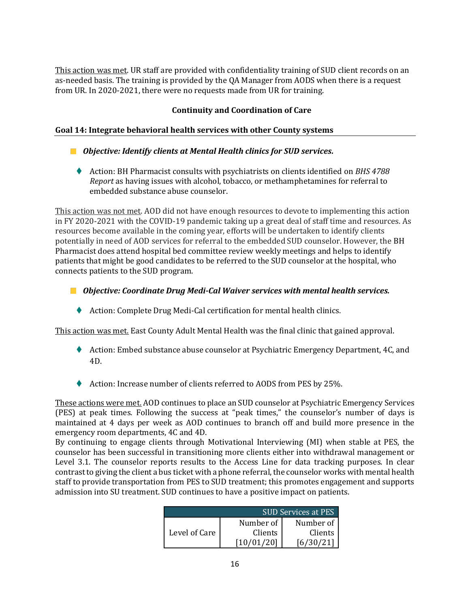This action was met. UR staff are provided with confidentiality training of SUD client records on an as-needed basis. The training is provided by the QA Manager from AODS when there is a request from UR. In 2020-2021, there were no requests made from UR for training.

## **Continuity and Coordination of Care**

#### **Goal 14: Integrate behavioral health services with other County systems**

- *Objective: Identify clients at Mental Health clinics for SUD services.*
	- ⧫ Action: BH Pharmacist consults with psychiatrists on clients identified on *BHS 4788 Report* as having issues with alcohol, tobacco, or methamphetamines for referral to embedded substance abuse counselor.

This action was not met. AOD did not have enough resources to devote to implementing this action in FY 2020-2021 with the COVID-19 pandemic taking up a great deal of staff time and resources. As resources become available in the coming year, efforts will be undertaken to identify clients potentially in need of AOD services for referral to the embedded SUD counselor. However, the BH Pharmacist does attend hospital bed committee review weekly meetings and helps to identify patients that might be good candidates to be referred to the SUD counselor at the hospital, who connects patients to the SUD program.

- *Objective: Coordinate Drug Medi-Cal Waiver services with mental health services.*
	- ◆ Action: Complete Drug Medi-Cal certification for mental health clinics.

This action was met. East County Adult Mental Health was the final clinic that gained approval.

- ♦ Action: Embed substance abuse counselor at Psychiatric Emergency Department, 4C, and 4D.
- ◆ Action: Increase number of clients referred to AODS from PES by 25%.

These actions were met. AOD continues to place an SUD counselor at Psychiatric Emergency Services (PES) at peak times. Following the success at "peak times," the counselor's number of days is maintained at 4 days per week as AOD continues to branch off and build more presence in the emergency room departments, 4C and 4D.

By continuing to engage clients through Motivational Interviewing (MI) when stable at PES, the counselor has been successful in transitioning more clients either into withdrawal management or Level 3.1. The counselor reports results to the Access Line for data tracking purposes. In clear contrast to giving the client a bus ticket with a phone referral, the counselor works with mental health staff to provide transportation from PES to SUD treatment; this promotes engagement and supports admission into SU treatment. SUD continues to have a positive impact on patients.

| SUD Services at PES |           |           |  |  |  |
|---------------------|-----------|-----------|--|--|--|
| Level of Care       | Number of | Number of |  |  |  |
|                     | Clients   | Clients   |  |  |  |
|                     |           |           |  |  |  |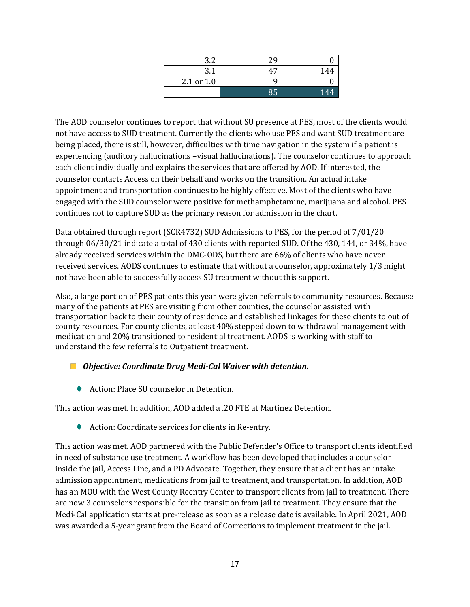| つつ<br>J.Z  | 29 |     |
|------------|----|-----|
| ◢<br>J. L  | 47 | 144 |
| 2.1 or 1.0 |    |     |
|            | 85 | 144 |

The AOD counselor continues to report that without SU presence at PES, most of the clients would not have access to SUD treatment. Currently the clients who use PES and want SUD treatment are being placed, there is still, however, difficulties with time navigation in the system if a patient is experiencing (auditory hallucinations –visual hallucinations). The counselor continues to approach each client individually and explains the services that are offered by AOD. If interested, the counselor contacts Access on their behalf and works on the transition. An actual intake appointment and transportation continues to be highly effective. Most of the clients who have engaged with the SUD counselor were positive for methamphetamine, marijuana and alcohol. PES continues not to capture SUD as the primary reason for admission in the chart.

Data obtained through report (SCR4732) SUD Admissions to PES, for the period of 7/01/20 through 06/30/21 indicate a total of 430 clients with reported SUD. Of the 430, 144, or 34%, have already received services within the DMC-ODS, but there are 66% of clients who have never received services. AODS continues to estimate that without a counselor, approximately 1/3 might not have been able to successfully access SU treatment without this support.

Also, a large portion of PES patients this year were given referrals to community resources. Because many of the patients at PES are visiting from other counties, the counselor assisted with transportation back to their county of residence and established linkages for these clients to out of county resources. For county clients, at least 40% stepped down to withdrawal management with medication and 20% transitioned to residential treatment. AODS is working with staff to understand the few referrals to Outpatient treatment.

- *Objective: Coordinate Drug Medi-Cal Waiver with detention.*
	- ◆ Action: Place SU counselor in Detention.

This action was met. In addition, AOD added a .20 FTE at Martinez Detention.

◆ Action: Coordinate services for clients in Re-entry.

This action was met. AOD partnered with the Public Defender's Office to transport clients identified in need of substance use treatment. A workflow has been developed that includes a counselor inside the jail, Access Line, and a PD Advocate. Together, they ensure that a client has an intake admission appointment, medications from jail to treatment, and transportation. In addition, AOD has an MOU with the West County Reentry Center to transport clients from jail to treatment. There are now 3 counselors responsible for the transition from jail to treatment. They ensure that the Medi-Cal application starts at pre-release as soon as a release date is available. In April 2021, AOD was awarded a 5-year grant from the Board of Corrections to implement treatment in the jail.